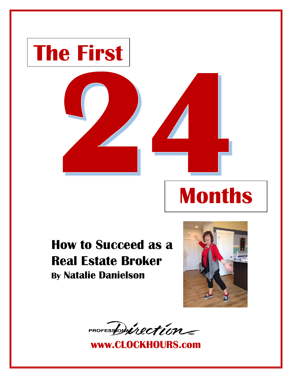

## **How to Succeed as a Real Estate Broker By Natalie Danielson**



PROFESSON inection

**www.CLOCKHOURS.com**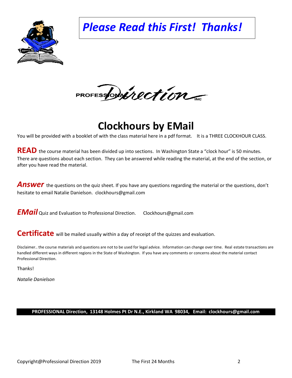*Please Read this First! Thanks!*



PROFESSONALLECTION

**Clockhours by EMail**

You will be provided with a booklet of with the class material here in a pdf format. It is a THREE CLOCKHOUR CLASS.

**READ** the course material has been divided up into sections. In Washington State a "clock hour" is 50 minutes. There are questions about each section. They can be answered while reading the material, at the end of the section, or after you have read the material.

Answer the questions on the quiz sheet. If you have any questions regarding the material or the questions, don't hesitate to email Natalie Danielson. clockhours@gmail.com

*EMail* Quiz and Evaluation to Professional Direction. Clockhours@gmail.com

**Certificate** will be mailed usually within a day of receipt of the quizzes and evaluation.

Disclaimer.. the course materials and questions are not to be used for legal advice. Information can change over time. Real estate transactions are handled different ways in different regions in the State of Washington. If you have any comments or concerns about the material contact Professional Direction.

Thanks!

*Natalie Danielson*

#### **PROFESSIONAL Direction, 13148 Holmes Pt Dr N.E., Kirkland WA 98034, Email: clockhours@gmail.com**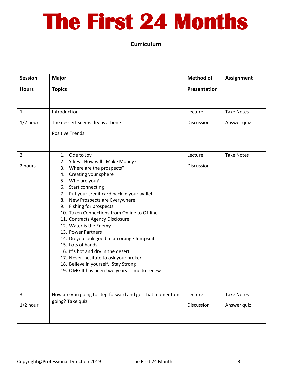# **The First 24 Months**

**Curriculum**

| <b>Session</b> | <b>Major</b>                                                                                                                                                                                                                                                                                                                                                                                                                                                                                                                                                                                                                                | <b>Method of</b> | <b>Assignment</b> |
|----------------|---------------------------------------------------------------------------------------------------------------------------------------------------------------------------------------------------------------------------------------------------------------------------------------------------------------------------------------------------------------------------------------------------------------------------------------------------------------------------------------------------------------------------------------------------------------------------------------------------------------------------------------------|------------------|-------------------|
| <b>Hours</b>   | <b>Topics</b>                                                                                                                                                                                                                                                                                                                                                                                                                                                                                                                                                                                                                               | Presentation     |                   |
|                |                                                                                                                                                                                                                                                                                                                                                                                                                                                                                                                                                                                                                                             |                  |                   |
| $\mathbf{1}$   | Introduction                                                                                                                                                                                                                                                                                                                                                                                                                                                                                                                                                                                                                                | Lecture          | <b>Take Notes</b> |
| $1/2$ hour     | The dessert seems dry as a bone                                                                                                                                                                                                                                                                                                                                                                                                                                                                                                                                                                                                             | Discussion       | Answer quiz       |
|                | <b>Positive Trends</b>                                                                                                                                                                                                                                                                                                                                                                                                                                                                                                                                                                                                                      |                  |                   |
|                |                                                                                                                                                                                                                                                                                                                                                                                                                                                                                                                                                                                                                                             |                  |                   |
| 2              | 1. Ode to Joy                                                                                                                                                                                                                                                                                                                                                                                                                                                                                                                                                                                                                               | Lecture          | <b>Take Notes</b> |
| 2 hours        | 2. Yikes! How will I Make Money?<br>Where are the prospects?<br>3.<br>Creating your sphere<br>4.<br>5. Who are you?<br>6. Start connecting<br>7. Put your credit card back in your wallet<br>New Prospects are Everywhere<br>8.<br>Fishing for prospects<br>9.<br>10. Taken Connections from Online to Offline<br>11. Contracts Agency Disclosure<br>12. Water is the Enemy<br>13. Power Partners<br>14. Do you look good in an orange Jumpsuit<br>15. Lots of hands<br>16. It's hot and dry in the desert<br>17. Never hesitate to ask your broker<br>18. Believe in yourself. Stay Strong<br>19. OMG It has been two years! Time to renew | Discussion       |                   |
| 3              |                                                                                                                                                                                                                                                                                                                                                                                                                                                                                                                                                                                                                                             |                  | <b>Take Notes</b> |
|                | How are you going to step forward and get that momentum<br>going? Take quiz.                                                                                                                                                                                                                                                                                                                                                                                                                                                                                                                                                                | Lecture          |                   |
| $1/2$ hour     |                                                                                                                                                                                                                                                                                                                                                                                                                                                                                                                                                                                                                                             | Discussion       | Answer quiz       |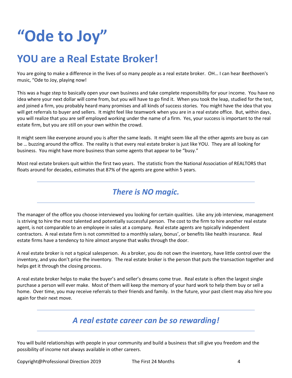## **"Ode to Joy"**

## **YOU are a Real Estate Broker!**

You are going to make a difference in the lives of so many people as a real estate broker. OH… I can hear Beethoven's music, "Ode to Joy, playing now!

This was a huge step to basically open your own business and take complete responsibility for your income. You have no idea where your next dollar will come from, but you will have to go find it. When you took the leap, studied for the test, and joined a firm, you probably heard many promises and all kinds of success stories. You might have the idea that you will get referrals to buyer and sellers. It might feel like teamwork when you are in a real estate office. But, within days, you will realize that you are self employed working under the name of a firm. Yes, your success is important to the real estate firm, but you are still on your own within the crowd.

It might seem like everyone around you is after the same leads. It might seem like all the other agents are busy as can be … buzzing around the office. The reality is that every real estate broker is just like YOU. They are all looking for business. You might have more business than some agents that appear to be "busy."

Most real estate brokers quit within the first two years. The statistic from the National Association of REALTORS that floats around for decades, estimates that 87% of the agents are gone within 5 years.

### *There is NO magic.*

The manager of the office you choose interviewed you looking for certain qualities. Like any job interview, management is striving to hire the most talented and potentially successful person. The cost to the firm to hire another real estate agent, is not comparable to an employee in sales at a company. Real estate agents are typically independent contractors. A real estate firm is not committed to a monthly salary, bonus', or benefits like health insurance. Real estate firms have a tendency to hire almost anyone that walks through the door.

A real estate broker is not a typical salesperson. As a broker, you do not own the inventory, have little control over the inventory, and you don't price the inventory. The real estate broker is the person that puts the transaction together and helps get it through the closing process.

A real estate broker helps to make the buyer's and seller's dreams come true. Real estate is often the largest single purchase a person will ever make. Most of them will keep the memory of your hard work to help them buy or sell a home. Over time, you may receive referrals to their friends and family. In the future, your past client may also hire you again for their next move.

### *A real estate career can be so rewarding!*

You will build relationships with people in your community and build a business that sill give you freedom and the possibility of income not always available in other careers.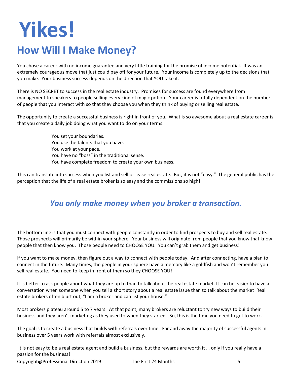# **Yikes!**

## **How Will I Make Money?**

You chose a career with no income guarantee and very little training for the promise of income potential. It was an extremely courageous move that just could pay off for your future. Your income is completely up to the decisions that you make. Your business success depends on the direction that YOU take it.

There is NO SECRET to success in the real estate industry. Promises for success are found everywhere from management to speakers to people selling every kind of magic potion. Your career is totally dependent on the number of people that you interact with so that they choose you when they think of buying or selling real estate.

The opportunity to create a successful business is right in front of you. What is so awesome about a real estate career is that you create a daily job doing what you want to do on your terms.

> You set your boundaries. You use the talents that you have. You work at your pace. You have no "boss" in the traditional sense. You have complete freedom to create your own business.

This can translate into success when you list and sell or lease real estate. But, it is not "easy." The general public has the perception that the life of a real estate broker is so easy and the commissions so high!

*You only make money when you broker a transaction.*

The bottom line is that you must connect with people constantly in order to find prospects to buy and sell real estate. Those prospects will primarily be within your sphere. Your business will originate from people that you know that know people that then know you. Those people need to CHOOSE YOU. You can't grab them and get business!

If you want to make money, then figure out a way to connect with people today. And after connecting, have a plan to connect in the future. Many times, the people in your sphere have a memory like a goldfish and won't remember you sell real estate. You need to keep in front of them so they CHOOSE YOU!

It is better to ask people about what they are up to than to talk about the real estate market. It can be easier to have a conversation when someone when you tell a short story about a real estate issue than to talk about the market Real estate brokers often blurt out, "I am a broker and can list your house."

Most brokers plateau around 5 to 7 years. At that point, many brokers are reluctant to try new ways to build their business and they aren't marketing as they used to when they started. So, this is the time you need to get to work.

The goal is to create a business that builds with referrals over time. Far and away the majority of successful agents in business over 5 years work with referrals almost exclusively.

It is not easy to be a real estate agent and build a business, but the rewards are worth it … only if you really have a passion for the business!

Copyright@Professional Direction 2019 The First 24 Months 5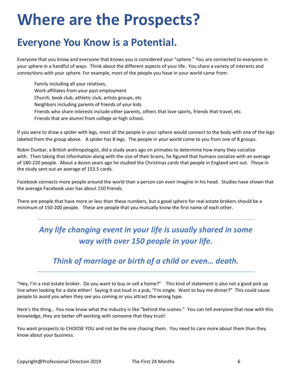## **Where are the Prospects?**

## **Everyone You Know is a Potential.**

Everyone that you know and everyone that knows you is considered your "sphere." You are connected to everyone in your sphere in a handful of ways. Think about the different aspects of your life. You share a variety of interests and connections with your sphere. For example, most of the people you have in your world came from:

Family including all your relatives, Work affiliates from your past employment Church, book club, athletic club, artists groups, etc Neighbors including parents of friends of your kids Friends who share interests include other parents, others that love sports, friends that travel, etc. Friends that are alumni from college or high school.

If you were to draw a spider with legs, most all the people in your sphere would connect to the body with one of the legs labeled from the group above. A spider has 8 legs. The people in your world come to you from one of 8 groups.

Robin Dunbar, a British anthropologist, did a study years ago on primates to determine how many they socialize with. Then taking that information along with the size of their brains, he figured that humans socialize with an average of 180-220 people. About a dozen years ago he studied the Christmas cards that people in England sent out. Those in the study sent out an average of 153.5 cards.

Facebook connects more people around the world than a person can even imagine in his head. Studies have shown that the average Facebook user has about 150 friends.

There are people that have more or less than these numbers, but a good sphere for real estate brokers should be a minimum of 150-200 people. These are people that you mutually know the first name of each other.

### *Any life changing event in your life is usually shared in some way with over 150 people in your life.*

### *Think of marriage or birth of a child or even… death.*

"Hey, I'm a real estate broker. Do you want to buy or sell a home?" This kind of statement is also not a good pick up line when looking for a date either! Saying it out loud in a pub, "I'm single. Want to buy me dinner?" This could cause people to avoid you when they see you coming or you attract the wrong type.

Here's the thing… You now know what the industry is like "behind the scenes." You can tell everyone that now with this knowledge, they are better off working with someone that they trust!

You want prospects to CHOOSE YOU and not be the one chasing them. You need to care more about them than they know about your business.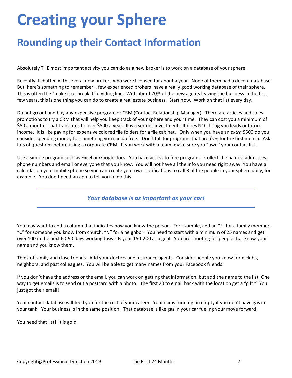## **Creating your Sphere**

## **Rounding up their Contact Information**

Absolutely THE most important activity you can do as a new broker is to work on a database of your sphere.

Recently, I chatted with several new brokers who were licensed for about a year. None of them had a decent database. But, here's something to remember… few experienced brokers have a really good working database of their sphere. This is often the "make it or break it" dividing line. With about 70% of the new agents leaving the business in the first few years, this is one thing you can do to create a real estate business. Start now. Work on that list every day.

Do not go out and buy any expensive program or CRM (Contact Relationship Manager). There are articles and sales promotions to try a CRM that will help you keep track of your sphere and your time. They can cost you a minimum of \$50 a month. That translates to over \$500 a year. It is a serious investment. It does NOT bring you leads or future income. It is like paying for expensive colored file folders for a file cabinet. Only when you have an *extra* \$500 do you consider spending money for something you can do free. Don't fall for programs that are *free* for the first month. Ask lots of questions before using a corporate CRM. If you work with a team, make sure you "own" your contact list.

Use a simple program such as Excel or Google docs. You have access to free programs. Collect the names, addresses, phone numbers and email or everyone that you know. You will not have all the info you need right away. You have a calendar on your mobile phone so you can create your own notifications to call 3 of the people in your sphere daily, for example. You don't need an app to tell you to do this!

#### *Your database is as important as your car!*

You may want to add a column that indicates how you know the person. For example, add an "F" for a family member, "C" for someone you know from church, "N" for a neighbor. You need to start with a minimum of 25 names and get over 100 in the next 60-90 days working towards your 150-200 as a goal. You are shooting for people that know your name and you know them.

Think of family and close friends. Add your doctors and insurance agents. Consider people you know from clubs, neighbors, and past colleagues. You will be able to get many names from your Facebook friends.

If you don't have the address or the email, you can work on getting that information, but add the name to the list. One way to get emails is to send out a postcard with a photo… the first 20 to email back with the location get a "gift." You just got their email!

Your contact database will feed you for the rest of your career. Your car is running on empty if you don't have gas in your tank. Your business is in the same position. That database is like gas in your car fueling your move forward.

You need that list! It is gold.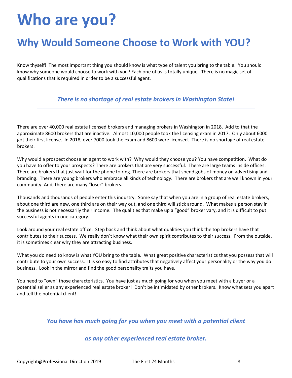## **Who are you?**

## **Why Would Someone Choose to Work with YOU?**

Know thyself! The most important thing you should know is what type of talent you bring to the table. You should know why someone would choose to work with you? Each one of us is totally unique. There is no magic set of qualifications that is required in order to be a successful agent.

#### *There is no shortage of real estate brokers in Washington State!*

There are over 40,000 real estate licensed brokers and managing brokers in Washington in 2018. Add to that the approximate 8600 brokers that are inactive. Almost 10,000 people took the licensing exam in 2017. Only about 6000 got their first license. In 2018, over 7000 took the exam and 8600 were licensed. There is no shortage of real estate brokers.

Why would a prospect choose an agent to work with? Why would they choose you? You have competition. What do you have to offer to your prospects? There are brokers that are very successful. There are large teams inside offices. There are brokers that just wait for the phone to ring. There are brokers that spend gobs of money on advertising and branding. There are young brokers who embrace all kinds of technology. There are brokers that are well known in your community. And, there are many "loser" brokers.

Thousands and thousands of people enter this industry. Some say that when you are in a group of real estate brokers, about one third are new, one third are on their way out, and one third will stick around. What makes a person stay in the business is not necessarily their income. The qualities that make up a "good" broker vary, and it is difficult to put successful agents in one category.

Look around your real estate office. Step back and think about what qualities you think the top brokers have that contributes to their success. We really don't know what their own spirit contributes to their success. From the outside, it is sometimes clear why they are attracting business.

What you do need to know is what YOU bring to the table. What great positive characteristics that you possess that will contribute to your own success. It is so easy to find attributes that negatively affect your personality or the way you do business. Look in the mirror and find the good personality traits you have.

You need to "own" those characteristics. You have just as much going for you when you meet with a buyer or a potential seller as any experienced real estate broker! Don't be intimidated by other brokers. Know what sets you apart and tell the potential client!

*You have has much going for you when you meet with a potential client* 

#### *as any other experienced real estate broker.*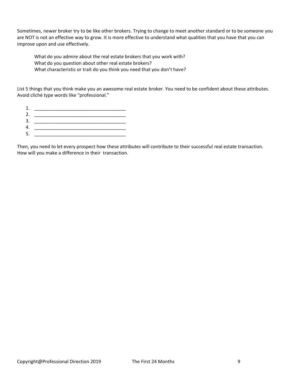Sometimes, newer broker try to be like other brokers. Trying to change to meet another standard or to be someone you are NOT is not an effective way to grow. It is more effective to understand what qualities that you have that you can improve upon and use effectively.

What do you admire about the real estate brokers that you work with? What do you question about other real estate brokers? What characteristic or trait do you think you need that you don't have?

List 5 things that you think make you an awesome real estate broker. You need to be confident about these attributes. Avoid cliché type words like "professional."

- 1. \_\_\_\_\_\_\_\_\_\_\_\_\_\_\_\_\_\_\_\_\_\_\_\_\_\_\_\_\_\_\_\_\_\_\_
- 2. \_\_\_\_\_\_\_\_\_\_\_\_\_\_\_\_\_\_\_\_\_\_\_\_\_\_\_\_\_\_\_\_\_\_\_
- 3. \_\_\_\_\_\_\_\_\_\_\_\_\_\_\_\_\_\_\_\_\_\_\_\_\_\_\_\_\_\_\_\_\_\_\_
- 4. \_\_\_\_\_\_\_\_\_\_\_\_\_\_\_\_\_\_\_\_\_\_\_\_\_\_\_\_\_\_\_\_\_\_\_ 5. \_\_\_\_\_\_\_\_\_\_\_\_\_\_\_\_\_\_\_\_\_\_\_\_\_\_\_\_\_\_\_\_\_\_\_

Then, you need to let every prospect how these attributes will contribute to their successful real estate transaction. How will you make a difference in their transaction.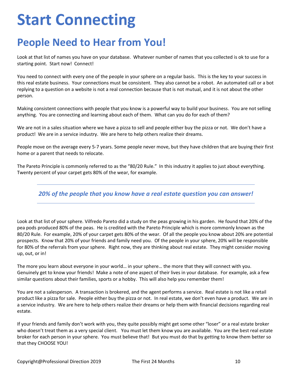## **Start Connecting**

## **People Need to Hear from You!**

Look at that list of names you have on your database. Whatever number of names that you collected is ok to use for a starting point. Start now! Connect!

You need to connect with every one of the people in your sphere on a regular basis. This is the key to your success in this real estate business. Your connections must be consistent. They also cannot be a robot. An automated call or a bot replying to a question on a website is not a real connection because that is not mutual, and it is not about the other person.

Making consistent connections with people that you know is a powerful way to build your business. You are not selling anything. You are connecting and learning about each of them. What can you do for each of them?

We are not in a sales situation where we have a pizza to sell and people either buy the pizza or not. We don't have a product! We are in a service industry. We are here to help others realize their dreams.

People move on the average every 5-7 years. Some people never move, but they have children that are buying their first home or a parent that needs to relocate.

The Pareto Principle is commonly referred to as the "80/20 Rule." In this industry it applies to just about everything. Twenty percent of your carpet gets 80% of the wear, for example.

*20% of the people that you know have a real estate question you can answer!*

Look at that list of your sphere. Vilfredo Pareto did a study on the peas growing in his garden. He found that 20% of the pea pods produced 80% of the peas. He is credited with the Pareto Principle which is more commonly known as the 80/20 Rule. For example, 20% of your carpet gets 80% of the wear. Of all the people you know about 20% are potential prospects. Know that 20% of your friends and family need you. Of the people in your sphere, 20% will be responsible for 80% of the referrals from your sphere. Right now, they are thinking about real estate. They might consider moving up, out, or in!

The more you learn about everyone in your world… in your sphere… the more that they will connect with you. Genuinely get to know your friends! Make a note of one aspect of their lives in your database. For example, ask a few similar questions about their families, sports or a hobby. This will also help you remember them!

You are not a salesperson. A transaction is brokered, and the agent performs a service. Real estate is not like a retail product like a pizza for sale. People either buy the pizza or not. In real estate, we don't even have a product. We are in a service industry. We are here to help others realize their dreams or help them with financial decisions regarding real estate.

If your friends and family don't work with you, they quite possibly might get some other "loser" or a real estate broker who doesn't treat them as a very special client. You must let them know you are available. You are the best real estate broker for each person in your sphere. You must believe that! But you must do that by getting to know them better so that they CHOOSE YOU!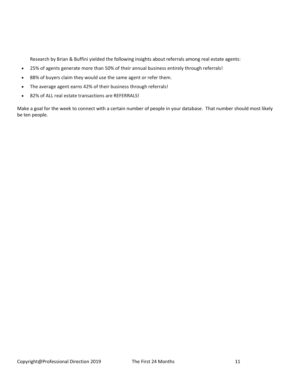Research by Brian & Buffini yielded the following insights about [referrals](https://www.ixactcontact.com/blog/8-incredible-stats-about-real-estate-referrals/) among real estate agents:

- 25% of agents generate more than 50% of their annual business entirely through referrals!
- 88% of buyers claim they would use the same agent or refer them.
- The average agent earns 42% of their business through referrals!
- 82% of ALL real estate transactions are REFERRALS!

Make a goal for the week to connect with a certain number of people in your database. That number should most likely be ten people.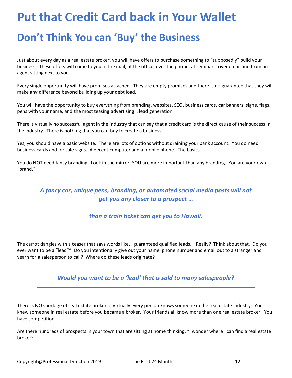## **Put that Credit Card back in Your Wallet**

## **Don't Think You can 'Buy' the Business**

Just about every day as a real estate broker, you will have offers to purchase something to "supposedly" build your business. These offers will come to you in the mail, at the office, over the phone, at seminars, over email and from an agent sitting next to you.

Every single opportunity will have promises attached. They are empty promises and there is no guarantee that they will make any difference beyond building up your debt load.

You will have the opportunity to buy everything from branding, websites, SEO, business cards, car banners, signs, flags, pens with your name, and the most teasing advertising… lead generation.

There is virtually no successful agent in the industry that can say that a credit card is the direct cause of their success in the industry. There is nothing that you can buy to create a business.

Yes, you should have a basic website. There are lots of options without draining your bank account. You do need business cards and for sale signs. A decent computer and a mobile phone. The basics.

You do NOT need fancy branding. Look in the mirror. YOU are more important than any branding. You are your own "brand."

*A fancy car, unique pens, branding, or automated social media posts will not get you any closer to a prospect …*

#### *than a train ticket can get you to Hawaii.*

The carrot dangles with a teaser that says words like, "guaranteed qualified leads." Really? Think about that. Do you ever want to be a "lead?" Do you intentionally give out your name, phone number and email out to a stranger and yearn for a salesperson to call? Where do these leads originate?

#### *Would you want to be a 'lead' that is sold to many salespeople?*

There is NO shortage of real estate brokers. Virtually every person knows someone in the real estate industry. You knew someone in real estate before you became a broker. Your friends all know more than one real estate broker. You have competition.

Are there hundreds of prospects in your town that are sitting at home thinking, "I wonder where I can find a real estate broker?"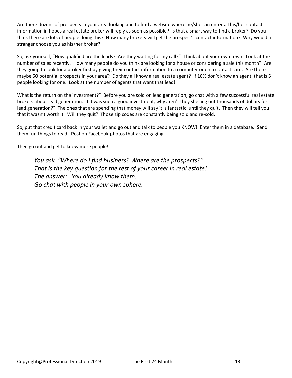Are there dozens of prospects in your area looking and to find a website where he/she can enter all his/her contact information in hopes a real estate broker will reply as soon as possible? Is that a smart way to find a broker? Do you think there are lots of people doing this? How many brokers will get the prospect's contact information? Why would a stranger choose you as his/her broker?

So, ask yourself, "How qualified are the leads? Are they waiting for my call?" Think about your own town. Look at the number of sales recently. How many people do you think are looking for a house or considering a sale this month? Are they going to look for a broker first by giving their contact information to a computer or on a contact card. Are there maybe 50 potential prospects in your area? Do they all know a real estate agent? If 10% don't know an agent, that is 5 people looking for one. Look at the number of agents that want that lead!

What is the return on the investment?" Before you are sold on lead generation, go chat with a few successful real estate brokers about lead generation. If it was such a good investment, why aren't they shelling out thousands of dollars for lead generation?" The ones that are spending that money will say it is fantastic, until they quit. Then they will tell you that it wasn't worth it. Will they quit? Those zip codes are constantly being sold and re-sold.

So, put that credit card back in your wallet and go out and talk to people you KNOW! Enter them in a database. Send them fun things to read. Post on Facebook photos that are engaging.

Then go out and get to know more people!

*You ask, "Where do I find business? Where are the prospects?" That is the key question for the rest of your career in real estate! The answer: You already know them. Go chat with people in your own sphere.*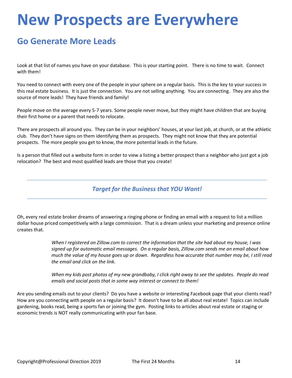## **New Prospects are Everywhere**

### **Go Generate More Leads**

Look at that list of names you have on your database. This is your starting point. There is no time to wait. Connect with them!

You need to connect with every one of the people in your sphere on a regular basis. This is the key to your success in this real estate business. It is just the connection. You are not selling anything. You are connecting. They are also the source of more leads! They have friends and family!

People move on the average every 5-7 years. Some people never move, but they might have children that are buying their first home or a parent that needs to relocate.

There are prospects all around you. They can be in your neighbors' houses, at your last job, at church, or at the athletic club. They don't have signs on them identifying them as prospects. They might not know that they are potential prospects. The more people you get to know, the more potential leads in the future.

Is a person that filled out a website form in order to view a listing a better prospect than a neighbor who just got a job relocation? The best and most qualified leads are those that you create!

#### *Target for the Business that YOU Want!*

Oh, every real estate broker dreams of answering a ringing phone or finding an email with a request to list a million dollar house priced competitively with a large commission. That is a dream unless your marketing and presence online creates that.

> *When I registered on Zillow.com to correct the information that the site had about my house, I was signed up for automatic email messages. On a regular basis, Zillow.com sends me an email about how much the value of my house goes up or down. Regardless how accurate that number may be, I still read the email and click on the link.*

*When my kids post photos of my new grandbaby, I click right away to see the updates. People do read emails and social posts that in some way interest or connect to them!*

Are you sending emails out to your clients? Do you have a website or interesting Facebook page that your clients read? How are you connecting with people on a regular basis? It doesn't have to be all about real estate! Topics can include gardening, books read, being a sports fan or joining the gym. Posting links to articles about real estate or staging or economic trends is NOT really communicating with your fan base.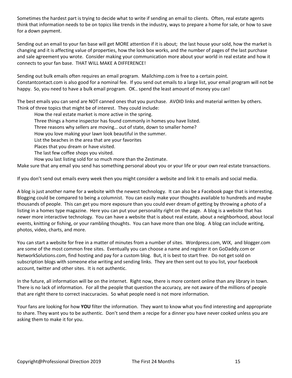Sometimes the hardest part is trying to decide what to write if sending an email to clients. Often, real estate agents think that information needs to be on topics like trends in the industry, ways to prepare a home for sale, or how to save for a down payment.

Sending out an email to your fan base will get MORE attention if it is about; the last house your sold, how the market is changing and it is affecting value of properties, how the lock box works, and the number of pages of the last purchase and sale agreement you wrote. Consider making your communication more about your world in real estate and how it connects to your fan base. THAT WILL MAKE A DIFFERENCE!

Sending out bulk emails often requires an email program. Mailchimp.com is free to a certain point. Constantcontact.com is also good for a nominal fee. If you send out emails to a large list, your email program will not be happy. So, you need to have a bulk email program. OK.. spend the least amount of money you can!

The best emails you can send are NOT canned ones that you purchase. AVOID links and material written by others. Think of three topics that might be of interest. They could include:

How the real estate market is more active in the spring.

Three things a home inspector has found commonly in homes you have listed.

Three reasons why sellers are moving… out of state, down to smaller home?

How you love making your lawn look beautiful in the summer.

List the beaches in the area that are your favorites

Places that you dream or have visited.

The last few coffee shops you visited.

How you last listing sold for so much more than the Zestimate.

Make sure that any email you send has something personal about you or your life or your own real estate transactions.

If you don't send out emails every week then you might consider a website and link it to emails and social media.

A blog is just another name for a website with the newest technology. It can also be a Facebook page that is interesting. Blogging could be compared to being a columnist. You can easily make your thoughts available to hundreds and maybe thousands of people. This can get you more exposure than you could ever dream of getting by throwing a photo of a listing in a homes type magazine. Here you can put your personality right on the page. A blog is a website that has newer more interactive technology. You can have a website that is about real estate, about a neighborhood, about local events, knitting or fishing, or your rambling thoughts. You can have more than one blog. A blog can include writing, photos, video, charts, and more.

You can start a website for free in a matter of minutes from a number of sites. Wordpress.com, WIX, and blogger.com are some of the most common free sites. Eventually you can choose a name and register it on GoDaddy.com or NetworkSolutions.com, find hosting and pay for a custom blog. But, it is best to start free. Do not get sold on subscription blogs with someone else writing and sending links. They are then sent out to you list, your facebook account, twitter and other sites. It is not authentic.

In the future, all information will be on the internet. Right now, there is more content online than any library in town. There is no lack of information. For all the people that question the accuracy, are not aware of the millions of people that are right there to correct inaccuracies. So what people need is not more information.

Your fans are looking for how **YOU** filter the information. They want to know what you find interesting and appropriate to share. They want you to be authentic. Don't send them a recipe for a dinner you have never cooked unless you are asking them to make it for you.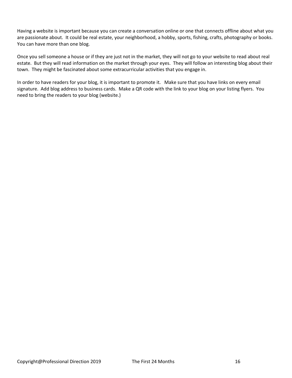Having a website is important because you can create a conversation online or one that connects offline about what you are passionate about. It could be real estate, your neighborhood, a hobby, sports, fishing, crafts, photography or books. You can have more than one blog.

Once you sell someone a house or if they are just not in the market, they will not go to your website to read about real estate. But they will read information on the market through your eyes. They will follow an interesting blog about their town. They might be fascinated about some extracurricular activities that you engage in.

In order to have readers for your blog, it is important to promote it. Make sure that you have links on every email signature. Add blog address to business cards. Make a QR code with the link to your blog on your listing flyers. You need to bring the readers to your blog (website.)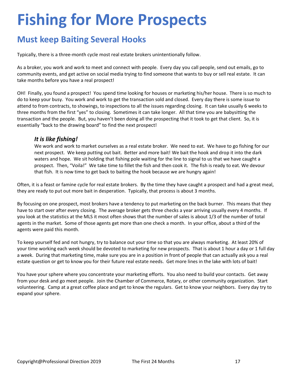## **Fishing for More Prospects**

### **Must keep Baiting Several Hooks**

Typically, there is a three-month cycle most real estate brokers unintentionally follow.

As a broker, you work and work to meet and connect with people. Every day you call people, send out emails, go to community events, and get active on social media trying to find someone that wants to buy or sell real estate. It can take months before you have a real prospect!

OH! Finally, you found a prospect! You spend time looking for houses or marketing his/her house. There is so much to do to keep your busy. You work and work to get the transaction sold and closed. Every day there is some issue to attend to from contracts, to showings, to inspections to all the issues regarding closing. It can take usually 6 weeks to three months from the first "yes" to closing. Sometimes it can take longer. All that time you are babysitting the transaction and the people. But, you haven't been doing all the prospecting that it took to get that client. So, it is essentially "back to the drawing board" to find the next prospect!

#### *It is like fishing!*

We work and work to market ourselves as a real estate broker. We need to eat. We have to go fishing for our next prospect. We keep putting out bait. Better and more bait! We bait the hook and drop it into the dark waters and hope. We sit holding that fishing pole waiting for the line to signal to us that we have caught a prospect. Then, "Voila!" We take time to fillet the fish and then cook it. The fish is ready to eat. We devour that fish. It is now time to get back to baiting the hook because we are hungry again!

Often, it is a feast or famine cycle for real estate brokers. By the time they have caught a prospect and had a great meal, they are ready to put out more bait in desperation. Typically, that process is about 3 months.

By focusing on one prospect, most brokers have a tendency to put marketing on the back burner. This means that they have to start over after every closing. The average broker gets three checks a year arriving usually every 4 months. If you look at the statistics at the MLS it most often shows that the number of sales is about 1/3 of the number of total agents in the market. Some of those agents get more than one check a month. In your office, about a third of the agents were paid this month.

To keep yourself fed and not hungry, try to balance out your time so that you are always marketing. At least 20% of your time working each week should be devoted to marketing for new prospects. That is about 1 hour a day or 1 full day a week. During that marketing time, make sure you are in a position in front of people that can actually ask you a real estate question or get to know you for their future real estate needs. Get more lines in the lake with lots of bait!

You have your sphere where you concentrate your marketing efforts. You also need to build your contacts. Get away from your desk and go meet people. Join the Chamber of Commerce, Rotary, or other community organization. Start volunteering. Camp at a great coffee place and get to know the regulars. Get to know your neighbors. Every day try to expand your sphere.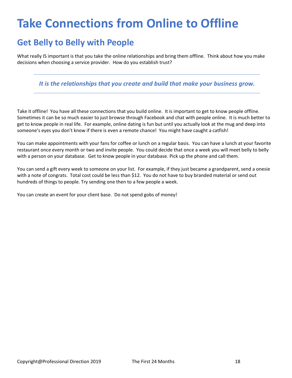## **Take Connections from Online to Offline**

### **Get Belly to Belly with People**

What really IS important is that you take the online relationships and bring them offline. Think about how you make decisions when choosing a service provider. How do you establish trust?

*It is the relationships that you create and build that make your business grow.* 

Take it offline! You have all these connections that you build online. It is important to get to know people offline. Sometimes it can be so much easier to just browse through Facebook and chat with people online. It is much better to get to know people in real life. For example, online dating is fun but until you actually look at the mug and deep into someone's eyes you don't know if there is even a remote chance! You might have caught a catfish!

You can make appointments with your fans for coffee or lunch on a regular basis. You can have a lunch at your favorite restaurant once every month or two and invite people. You could decide that once a week you will meet belly to belly with a person on your database. Get to know people in your database. Pick up the phone and call them.

You can send a gift every week to someone on your list. For example, if they just became a grandparent, send a onesie with a note of congrats. Total cost could be less than \$12. You do not have to buy branded material or send out hundreds of things to people. Try sending one then to a few people a week.

You can create an event for your client base. Do not spend gobs of money!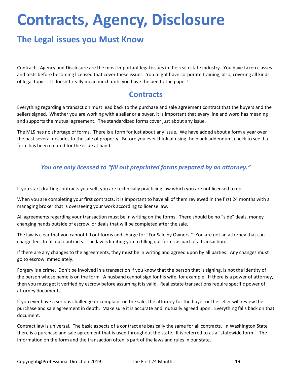## **Contracts, Agency, Disclosure**

### **The Legal issues you Must Know**

Contracts, Agency and Disclosure are the most important legal issues in the real estate industry. You have taken classes and tests before becoming licensed that cover these issues. You might have corporate training, also, covering all kinds of legal topics. It doesn't really mean much until you have the pen to the paper!

### **Contracts**

Everything regarding a transaction must lead back to the purchase and sale agreement contract that the buyers and the sellers signed. Whether you are working with a seller or a buyer, it is important that every line and word has meaning and supports the mutual agreement. The standardized forms cover just about any issue.

The MLS has no shortage of forms. There is a form for just about any issue. We have added about a form a year over the past several decades to the sale of property. Before you ever think of using the blank addendum, check to see if a form has been created for the issue at hand.

*You are only licensed to "fill out preprinted forms prepared by an attorney."*

If you start drafting contracts yourself, you are technically practicing law which you are not licensed to do.

When you are completing your first contracts, it is important to have all of them reviewed in the first 24 months with a managing broker that is overseeing your work according to license law.

All agreements regarding your transaction must be in writing on the forms. There should be no "side" deals, money changing hands outside of escrow, or deals that will be completed after the sale.

The law is clear that you cannot fill out forms and charge for "For Sale by Owners." You are not an attorney that can charge fees to fill out contracts. The law is limiting you to filling out forms as part of a transaction.

If there are any changes to the agreements, they must be in writing and agreed upon by all parties. Any changes must go to escrow immediately.

Forgery is a crime. Don't be involved in a transaction if you know that the person that is signing, is not the identity of the person whose name is on the form. A husband cannot sign for his wife, for example. If there is a power of attorney, then you must get it verified by escrow before assuming it is valid. Real estate transactions require specific power of attorney documents.

If you ever have a serious challenge or complaint on the sale, the attorney for the buyer or the seller will review the purchase and sale agreement in depth. Make sure it is accurate and mutually agreed upon. Everything falls back on that document.

Contract law is universal. The basic aspects of a contract are basically the same for all contracts. In Washington State there is a purchase and sale agreement that is used throughout the state. It is referred to as a "statewide form." The information on the form and the transaction often is part of the laws and rules in our state.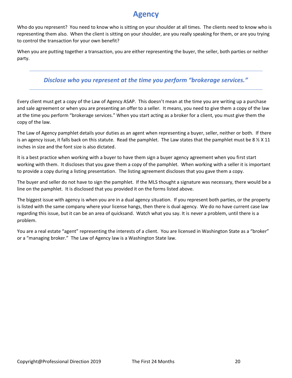### **Agency**

Who do you represent? You need to know who is sitting on your shoulder at all times. The clients need to know who is representing them also. When the client is sitting on your shoulder, are you really speaking for them, or are you trying to control the transaction for your own benefit?

When you are putting together a transaction, you are either representing the buyer, the seller, both parties or neither party.

#### *Disclose who you represent at the time you perform "brokerage services."*

Every client must get a copy of the Law of Agency ASAP. This doesn't mean at the time you are writing up a purchase and sale agreement or when you are presenting an offer to a seller. It means, you need to give them a copy of the law at the time you perform "brokerage services." When you start acting as a broker for a client, you must give them the copy of the law.

The Law of Agency pamphlet details your duties as an agent when representing a buyer, seller, neither or both. If there is an agency issue, it falls back on this statute. Read the pamphlet. The Law states that the pamphlet must be 8  $\frac{1}{2}$  X 11 inches in size and the font size is also dictated.

It is a best practice when working with a buyer to have them sign a buyer agency agreement when you first start working with them. It discloses that you gave them a copy of the pamphlet. When working with a seller it is important to provide a copy during a listing presentation. The listing agreement discloses that you gave them a copy.

The buyer and seller do not have to sign the pamphlet. If the MLS thought a signature was necessary, there would be a line on the pamphlet. It is disclosed that you provided it on the forms listed above.

The biggest issue with agency is when you are in a dual agency situation. If you represent both parties, or the property is listed with the same company where your license hangs, then there is dual agency. We do no have current case law regarding this issue, but it can be an area of quicksand. Watch what you say. It is never a problem, until there is a problem.

You are a real estate "agent" representing the interests of a client. You are licensed in Washington State as a "broker" or a "managing broker." The Law of Agency law is a Washington State law.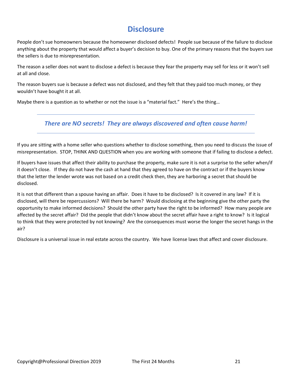### **Disclosure**

People don't sue homeowners because the homeowner disclosed defects! People sue because of the failure to disclose anything about the property that would affect a buyer's decision to buy. One of the primary reasons that the buyers sue the sellers is due to misrepresentation.

The reason a seller does not want to disclose a defect is because they fear the property may sell for less or it won't sell at all and close.

The reason buyers sue is because a defect was not disclosed, and they felt that they paid too much money, or they wouldn't have bought it at all.

Maybe there is a question as to whether or not the issue is a "material fact." Here's the thing…

#### *There are NO secrets! They are always discovered and often cause harm!*

If you are sitting with a home seller who questions whether to disclose something, then you need to discuss the issue of misrepresentation. STOP, THINK AND QUESTION when you are working with someone that if failing to disclose a defect.

If buyers have issues that affect their ability to purchase the property, make sure it is not a surprise to the seller when/if it doesn't close. If they do not have the cash at hand that they agreed to have on the contract or if the buyers know that the letter the lender wrote was not based on a credit check then, they are harboring a secret that should be disclosed.

It is not that different than a spouse having an affair. Does it have to be disclosed? Is it covered in any law? If it is disclosed, will there be repercussions? Will there be harm? Would disclosing at the beginning give the other party the opportunity to make informed decisions? Should the other party have the right to be informed? How many people are affected by the secret affair? Did the people that didn't know about the secret affair have a right to know? Is it logical to think that they were protected by not knowing? Are the consequences must worse the longer the secret hangs in the air?

Disclosure is a universal issue in real estate across the country. We have license laws that affect and cover disclosure.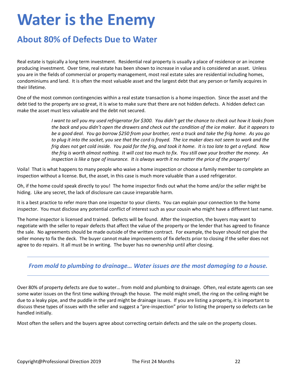## **Water is the Enemy**

### **About 80% of Defects Due to Water**

Real estate is typically a long term investment. Residential real property is usually a place of residence or an income producing investment. Over time, real estate has been shown to increase in value and is considered an asset. Unless you are in the fields of commercial or property management, most real estate sales are residential including homes, condominiums and land. It is often the most valuable asset and the largest debt that any person or family acquires in their lifetime.

One of the most common contingencies within a real estate transaction is a home inspection. Since the asset and the debt tied to the property are so great, it is wise to make sure that there are not hidden defects. A hidden defect can make the asset must less valuable and the debt not secured.

> *I want to sell you my used refrigerator for \$300. You didn't get the chance to check out how it looks from the back and you didn't open the drawers and check out the condition of the ice maker. But it appears to be a good deal. You go borrow \$250 from your brother, rent a truck and take the frig home. As you go to plug it into the socket, you see that the cord is frayed. The ice maker does not seem to work and the frig does not get cold inside. You paid for the frig, and took it home. It is too late to get a refund. Now the frig is worth almost nothing. It will cost too much to fix. You still owe your brother the money. An inspection is like a type of insurance. It is always worth it no matter the price of the property!*

Voila! That is what happens to many people who waive a home inspection or choose a family member to complete an inspection without a license. But, the asset, in this case is much more valuable than a used refrigerator.

Oh, if the home could speak directly to you! The home inspector finds out what the home and/or the seller might be hiding. Like any secret, the lack of disclosure can cause irreparable harm.

It is a best practice to refer more than one inspector to your clients. You can explain your connection to the home inspector. You must disclose any potential conflict of interest such as your cousin who might have a different last name.

The home inspector is licensed and trained. Defects will be found. After the inspection, the buyers may want to negotiate with the seller to repair defects that affect the value of the property or the lender that has agreed to finance the sale. No agreements should be made outside of the written contract. For example, the buyer should not give the seller money to fix the deck. The buyer cannot make improvements of fix defects prior to closing if the seller does not agree to do repairs. It all must be in writing. The buyer has no ownership until after closing.

#### *From mold to plumbing to drainage… Water issues are the most damaging to a house.*

Over 80% of property defects are due to water… from mold and plumbing to drainage. Often, real estate agents can see some water issues on the first time walking through the house. The mold might smell, the ring on the ceiling might be due to a leaky pipe, and the puddle in the yard might be drainage issues. If you are listing a property, it is important to discuss these types of issues with the seller and suggest a "pre-inspection" prior to listing the property so defects can be handled initially.

Most often the sellers and the buyers agree about correcting certain defects and the sale on the property closes.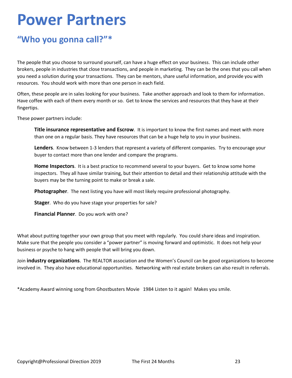## **Power Partners**

### **"Who you gonna call?"\***

The people that you choose to surround yourself, can have a huge effect on your business. This can include other brokers, people in industries that close transactions, and people in marketing. They can be the ones that you call when you need a solution during your transactions. They can be mentors, share useful information, and provide you with resources. You should work with more than one person in each field.

Often, these people are in sales looking for your business. Take another approach and look to them for information. Have coffee with each of them every month or so. Get to know the services and resources that they have at their fingertips.

These power partners include:

**Title insurance representative and Escrow**. It is important to know the first names and meet with more than one on a regular basis. They have resources that can be a huge help to you in your business.

**Lenders**. Know between 1-3 lenders that represent a variety of different companies. Try to encourage your buyer to contact more than one lender and compare the programs.

**Home Inspectors**. It is a best practice to recommend several to your buyers. Get to know some home inspectors. They all have similar training, but their attention to detail and their relationship attitude with the buyers may be the turning point to make or break a sale.

**Photographer**. The next listing you have will most likely require professional photography.

**Stager**. Who do you have stage your properties for sale?

**Financial Planner**. Do you work with one?

What about putting together your own group that you meet with regularly. You could share ideas and inspiration. Make sure that the people you consider a "power partner" is moving forward and optimistic. It does not help your business or psyche to hang with people that will bring you down.

Join **industry organizations**. The REALTOR association and the Women's Council can be good organizations to become involved in. They also have educational opportunities. Networking with real estate brokers can also result in referrals.

\*Academy Award winning song from Ghostbusters Movie 1984 Listen to it again! Makes you smile.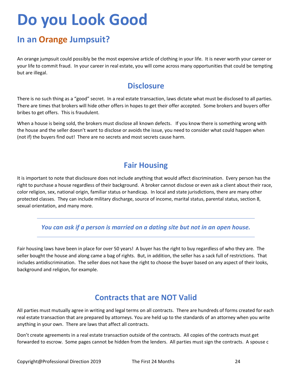## **Do you Look Good**

### **In an Orange Jumpsuit?**

An orange jumpsuit could possibly be the most expensive article of clothing in your life. It is never worth your career or your life to commit fraud. In your career in real estate, you will come across many opportunities that could be tempting but are illegal.

### **Disclosure**

There is no such thing as a "good" secret. In a real estate transaction, laws dictate what must be disclosed to all parties. There are times that brokers will hide other offers in hopes to get their offer accepted. Some brokers and buyers offer bribes to get offers. This is fraudulent.

When a house is being sold, the brokers must disclose all known defects. If you know there is something wrong with the house and the seller doesn't want to disclose or avoids the issue, you need to consider what could happen when (not if) the buyers find out! There are no secrets and most secrets cause harm.

### **Fair Housing**

It is important to note that disclosure does not include anything that would affect discrimination. Every person has the right to purchase a house regardless of their background. A broker cannot disclose or even ask a client about their race, color religion, sex, national origin, familiar status or handicap. In local and state jurisdictions, there are many other protected classes. They can include military discharge, source of income, marital status, parental status, section 8, sexual orientation, and many more.

*You can ask if a person is married on a dating site but not in an open house.*

Fair housing laws have been in place for over 50 years! A buyer has the right to buy regardless of who they are. The seller bought the house and along came a bag of rights. But, in addition, the seller has a sack full of restrictions. That includes antidiscrimination. The seller does not have the right to choose the buyer based on any aspect of their looks, background and religion, for example.

### **Contracts that are NOT Valid**

All parties must mutually agree in writing and legal terms on all contracts. There are hundreds of forms created for each real estate transaction that are prepared by attorneys. You are held up to the standards of an attorney when you write anything in your own. There are laws that affect all contracts.

Don't create agreements in a real estate transaction outside of the contracts. All copies of the contracts must get forwarded to escrow. Some pages cannot be hidden from the lenders. All parties must sign the contracts. A spouse c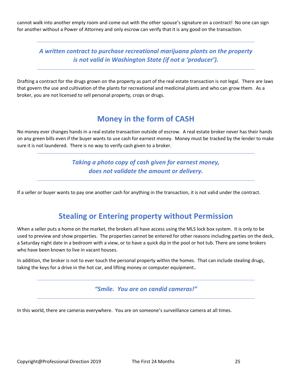cannot walk into another empty room and come out with the other spouse's signature on a contract! No one can sign for another without a Power of Attorney and only escrow can verify that it is any good on the transaction.

*A written contract to purchase recreational marijuana plants on the property is not valid in Washington State (if not a 'producer').*

Drafting a contract for the drugs grown on the property as part of the real estate transaction is not legal. There are laws that govern the use and cultivation of the plants for recreational and medicinal plants and who can grow them. As a broker, you are not licensed to sell personal property, crops or drugs.

### **Money in the form of CASH**

No money ever changes hands in a real estate transaction outside of escrow. A real estate broker never has their hands on any green bills even if the buyer wants to use cash for earnest money. Money must be tracked by the lender to make sure it is not laundered. There is no way to verify cash given to a broker.

> *Taking a photo copy of cash given for earnest money, does not validate the amount or delivery.*

If a seller or buyer wants to pay one another cash for anything in the transaction, it is not valid under the contract.

### **Stealing or Entering property without Permission**

When a seller puts a home on the market, the brokers all have access using the MLS lock box system. It is only to be used to preview and show properties. The properties cannot be entered for other reasons including parties on the deck, a Saturday night date in a bedroom with a view, or to have a quick dip in the pool or hot tub. There are some brokers who have been known to live in vacant houses.

In addition, the broker is not to ever touch the personal property within the homes. That can include stealing drugs, taking the keys for a drive in the hot car, and lifting money or computer equipment..

*"Smile. You are on candid cameras!"*

In this world, there are cameras everywhere. You are on someone's surveillance camera at all times.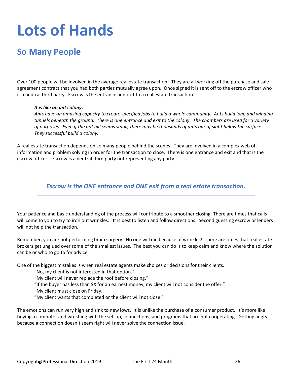## **Lots of Hands**

### **So Many People**

Over 100 people will be involved in the average real estate transaction! They are all working off the purchase and sale agreement contract that you had both parties mutually agree upon. Once signed it is sent off to the escrow officer who is a neutral third party. Escrow is the entrance and exit to a real estate transaction.

#### *It is like an ant colony.*

*Ants have an amazing capacity to create specified jobs to build a whole community. Ants build long and winding tunnels beneath the ground. There is one entrance and exit to the colony. The chambers are used for a variety of purposes. Even if the ant hill seems small, there may be thousands of ants our of sight below the surface. They successful build a colony.* 

A real estate transaction depends on so many people behind the scenes. They are involved in a complex web of information and problem solving in order for the transaction to close. There is one entrance and exit and that is the escrow officer. Escrow is a neutral third party not representing any party.

*Escrow is the ONE entrance and ONE exit from a real estate transaction.*

Your patience and basic understanding of the process will contribute to a smoother closing. There are times that calls will come to you to try to iron out wrinkles. It is best to listen and follow directions. Second guessing escrow or lenders will not help the transaction.

Remember, you are not performing brain surgery. No one will die because of wrinkles! There are times that real estate brokers get unglued over some of the smallest issues. The best you can do is to keep calm and know where the solution can be or who to go to for advice.

One of the biggest mistakes is when real estate agents make choices or decisions for their clients.

"No, my client is not interested in that option."

"My client will never replace the roof before closing."

"If the buyer has less than \$X for an earnest money, my client will not consider the offer."

"My client must close on Friday."

"My client wants that completed or the client will not close."

The emotions can run very high and sink to new lows. It is unlike the purchase of a consumer product. It's more like buying a computer and wrestling with the set-up, connections, and programs that are not cooperating. Getting angry because a connection doesn't seem right will never solve the connection issue.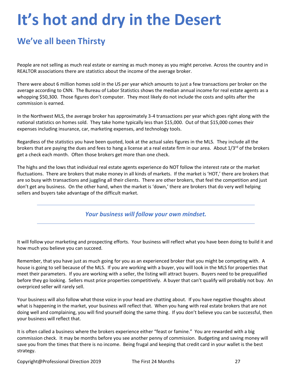## **It's hot and dry in the Desert**

### **We've all been Thirsty**

People are not selling as much real estate or earning as much money as you might perceive. Across the country and in REALTOR associations there are statistics about the income of the average broker.

There were about 6 million homes sold in the US per year which amounts to just a few transactions per broker on the average according to CNN. The Bureau of Labor Statistics shows the median annual income for real estate agents as a whopping \$50,300. Those figures don't computer. They most likely do not include the costs and splits after the commission is earned.

In the Northwest MLS, the average broker has approximately 3-4 transactions per year which goes right along with the national statistics on homes sold. They take home typically less than \$15,000. Out of that \$15,000 comes their expenses including insurance, car, marketing expenses, and technology tools.

Regardless of the statistics you have been quoted, look at the actual sales figures in the MLS. They include all the brokers that are paying the dues and fees to hang a license at a real estate firm in our area. About  $1/3^{rd}$  of the brokers get a check each month. Often those brokers get more than one check.

The highs and the lows that individual real estate agents experience do NOT follow the interest rate or the market fluctuations. There are brokers that make money in all kinds of markets. If the market is 'HOT,' there are brokers that are so busy with transactions and juggling all their clients. There are other brokers, that feel the competition and just don't get any business. On the other hand, when the market is 'down,' there are brokers that do very well helping sellers and buyers take advantage of the difficult market.

*Your business will follow your own mindset.* 

It will follow your marketing and prospecting efforts. Your business will reflect what you have been doing to build it and how much you believe you can succeed.

Remember, that you have just as much going for you as an experienced broker that you might be competing with. A house is going to sell because of the MLS. If you are working with a buyer, you will look in the MLS for properties that meet their parameters. If you are working with a seller, the listing will attract buyers. Buyers need to be prequalified before they go looking. Sellers must price properties competitively. A buyer that can't qualify will probably not buy. An overpriced seller will rarely sell.

Your business will also follow what those voice in your head are chatting about. If you have negative thoughts about what is happening in the market, your business will reflect that. When you hang with real estate brokers that are not doing well and complaining, you will find yourself doing the same thing. If you don't believe you can be successful, then your business will reflect that.

It is often called a business where the brokers experience either "feast or famine." You are rewarded with a big commission check. It may be months before you see another penny of commission. Budgeting and saving money will save you from the times that there is no income. Being frugal and keeping that credit card in your wallet is the best strategy.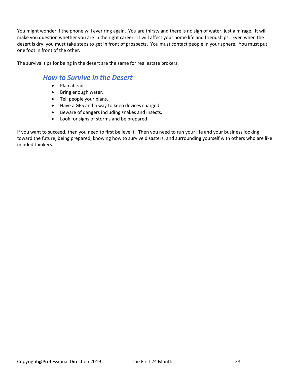You might wonder if the phone will ever ring again. You are thirsty and there is no sign of water, just a mirage. It will make you question whether you are in the right career. It will affect your home life and friendships. Even when the desert is dry, you must take steps to get in front of prospects. You must contact people in your sphere. You must put one foot in front of the other.

The survival tips for being in the desert are the same for real estate brokers.

### *How to Survive in the Desert*

- Plan ahead.
- Bring enough water.
- Tell people your plans.
- Have a GPS and a way to keep devices charged.
- Beware of dangers including snakes and insects.
- Look for signs of storms and be prepared.

If you want to succeed, then you need to first believe it. Then you need to run your life and your business looking toward the future, being prepared, knowing how to survive disasters, and surrounding yourself with others who are like minded thinkers.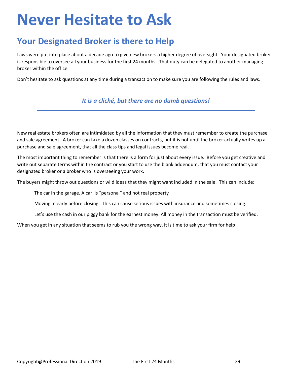## **Never Hesitate to Ask**

### **Your Designated Broker is there to Help**

Laws were put into place about a decade ago to give new brokers a higher degree of oversight. Your designated broker is responsible to oversee all your business for the first 24 months. That duty can be delegated to another managing broker within the office.

Don't hesitate to ask questions at any time during a transaction to make sure you are following the rules and laws.

#### *It is a cliché, but there are no dumb questions!*

New real estate brokers often are intimidated by all the information that they must remember to create the purchase and sale agreement. A broker can take a dozen classes on contracts, but it is not until the broker actually writes up a purchase and sale agreement, that all the class tips and legal issues become real.

The most important thing to remember is that there is a form for just about every issue. Before you get creative and write out separate terms within the contract or you start to use the blank addendum, that you must contact your designated broker or a broker who is overseeing your work.

The buyers might throw out questions or wild ideas that they might want included in the sale. This can include:

The car in the garage. A car is "personal" and not real property

Moving in early before closing. This can cause serious issues with insurance and sometimes closing.

Let's use the cash in our piggy bank for the earnest money. All money in the transaction must be verified.

When you get in any situation that seems to rub you the wrong way, it is time to ask your firm for help!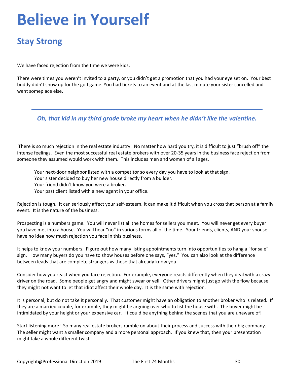## **Believe in Yourself**

### **Stay Strong**

We have faced rejection from the time we were kids.

There were times you weren't invited to a party, or you didn't get a promotion that you had your eye set on. Your best buddy didn't show up for the golf game. You had tickets to an event and at the last minute your sister cancelled and went someplace else.

*Oh, that kid in my third grade broke my heart when he didn't like the valentine.*

There is so much rejection in the real estate industry. No matter how hard you try, it is difficult to just "brush off" the intense feelings. Even the most successful real estate brokers with over 20-35 years in the business face rejection from someone they assumed would work with them. This includes men and women of all ages.

Your next-door neighbor listed with a competitor so every day you have to look at that sign.

Your sister decided to buy her new house directly from a builder.

Your friend didn't know you were a broker.

Your past client listed with a new agent in your office.

Rejection is tough. It can seriously affect your self-esteem. It can make it difficult when you cross that person at a family event. It is the nature of the business.

Prospecting is a numbers game. You will never list all the homes for sellers you meet. You will never get every buyer you have met into a house. You will hear "no" in various forms all of the time. Your friends, clients, AND your spouse have no idea how much rejection you face in this business.

It helps to know your numbers. Figure out how many listing appointments turn into opportunities to hang a "for sale" sign. How many buyers do you have to show houses before one says, "yes." You can also look at the difference between leads that are complete strangers vs those that already know you.

Consider how you react when you face rejection. For example, everyone reacts differently when they deal with a crazy driver on the road. Some people get angry and might swear or yell. Other drivers might just go with the flow because they might not want to let that idiot affect their whole day. It is the same with rejection.

It is personal, but do not take it personally. That customer might have an obligation to another broker who is related. If they are a married couple, for example, they might be arguing over who to list the house with. The buyer might be intimidated by your height or your expensive car. It could be anything behind the scenes that you are unaware of!

Start listening more! So many real estate brokers ramble on about their process and success with their big company. The seller might want a smaller company and a more personal approach. If you knew that, then your presentation might take a whole different twist.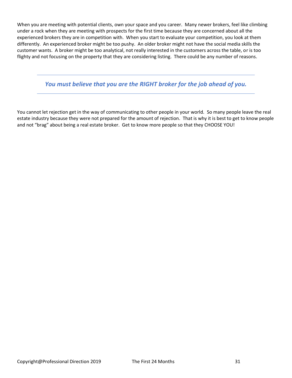When you are meeting with potential clients, own your space and you career. Many newer brokers, feel like climbing under a rock when they are meeting with prospects for the first time because they are concerned about all the experienced brokers they are in competition with. When you start to evaluate your competition, you look at them differently. An experienced broker might be too pushy. An older broker might not have the social media skills the customer wants. A broker might be too analytical, not really interested in the customers across the table, or is too flighty and not focusing on the property that they are considering listing. There could be any number of reasons.

*You must believe that you are the RIGHT broker for the job ahead of you.* 

You cannot let rejection get in the way of communicating to other people in your world. So many people leave the real estate industry because they were not prepared for the amount of rejection. That is why it is best to get to know people and not "brag" about being a real estate broker. Get to know more people so that they CHOOSE YOU!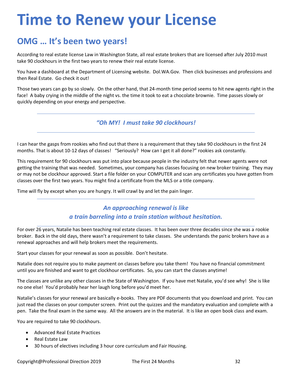## **Time to Renew your License**

### **OMG … It's been two years!**

According to real estate license Law in Washington State, all real estate brokers that are licensed after July 2010 must take 90 clockhours in the first two years to renew their real estate license.

You have a dashboard at the Department of Licensing website. Dol.WA.Gov. Then click businesses and professions and then Real Estate. Go check it out!

Those two years can go by so slowly. On the other hand, that 24-month time period seems to hit new agents right in the face! A baby crying in the middle of the night vs. the time it took to eat a chocolate brownie. Time passes slowly or quickly depending on your energy and perspective.

*"Oh MY! I must take 90 clockhours!* 

I can hear the gasps from rookies who find out that there is a requirement that they take 90 clockhours in the first 24 months. That is about 10-12 days of classes! "Seriously? How can I get it all done?" rookies ask constantly.

This requirement for 90 clockhours was put into place because people in the industry felt that newer agents were not getting the training that was needed. Sometimes, your company has classes focusing on new broker training. They may or may not be clockhour approved. Start a file folder on your COMPUTER and scan any certificates you have gotten from classes over the first two years. You might find a certificate from the MLS or a title company.

Time will fly by except when you are hungry. It will crawl by and let the pain linger.

### *An approaching renewal is like a train barreling into a train station without hesitation.*

For over 26 years, Natalie has been teaching real estate classes. It has been over three decades since she was a rookie broker. Back in the old days, there wasn't a requirement to take classes. She understands the panic brokers have as a renewal approaches and will help brokers meet the requirements.

Start your classes for your renewal as soon as possible. Don't hesitate.

Natalie does not require you to make payment on classes before you take them! You have no financial commitment until you are finished and want to get clockhour certificates. So, you can start the classes anytime!

The classes are unlike any other classes in the State of Washington. If you have met Natalie, you'd see why! She is like no one else! You'd probably hear her laugh long before you'd meet her.

Natalie's classes for your renewal are basically e-books. They are PDF documents that you download and print. You can just read the classes on your computer screen. Print out the quizzes and the mandatory evaluation and complete with a pen. Take the final exam in the same way. All the answers are in the material. It is like an open book class and exam.

You are required to take 90 clockhours.

- Advanced Real Estate Practices
- Real Estate Law
- 30 hours of electives including 3 hour core curriculum and Fair Housing.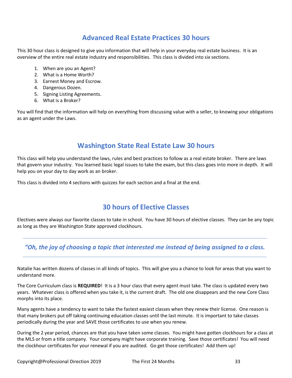### **Advanced Real Estate Practices 30 hours**

This 30 hour class is designed to give you information that will help in your everyday real estate business. It is an overview of the entire real estate industry and responsibilities. This class is divided into six sections.

- 1. When are you an Agent?
- 2. What is a Home Worth?
- 3. Earnest Money and Escrow.
- 4. Dangerous Dozen.
- 5. Signing Listing Agreements.
- 6. What is a Broker?

You will find that the information will help on everything from discussing value with a seller, to knowing your obligations as an agent under the Laws.

### **Washington State Real Estate Law 30 hours**

This class will help you understand the laws, rules and best practices to follow as a real estate broker. There are laws that govern your industry. You learned basic legal issues to take the exam, but this class goes into more in depth. It will help you on your day to day work as an broker.

This class is divided into 4 sections with quizzes for each section and a final at the end.

### **30 hours of Elective Classes**

Electives were always our favorite classes to take in school. You have 30 hours of elective classes. They can be any topic as long as they are Washington State approved clockhours.

### *"Oh, the joy of choosing a topic that interested me instead of being assigned to a class.*

Natalie has written dozens of classes in all kinds of topics. This will give you a chance to look for areas that you want to understand more.

The Core Curriculum class is **REQUIRED**! It is a 3 hour class that every agent must take. The class is updated every two years. Whatever class is offered when you take it, is the current draft. The old one disappears and the new Core Class morphs into its place.

Many agents have a tendency to want to take the fastest easiest classes when they renew their license. One reason is that many brokers put off taking continuing education classes until the last minute. It is important to take classes periodically during the year and SAVE those certificates to use when you renew.

During the 2 year period, chances are that you have taken some classes. You might have gotten clockhours for a class at the MLS or from a title company. Your company might have corporate training. Save those certificates! You will need the clockhour certificates for your renewal if you are audited. Go get those certificates! Add them up!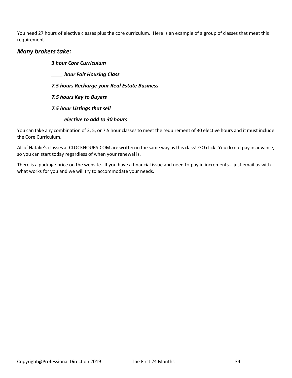You need 27 hours of elective classes plus the core curriculum. Here is an example of a group of classes that meet this requirement.

#### *Many brokers take:*

*3 hour Core Curriculum \_\_\_\_ hour Fair Housing Class 7.5 hours Recharge your Real Estate Business 7.5 hours Key to Buyers 7.5 hour Listings that sell \_\_\_\_ elective to add to 30 hours*

You can take any combination of 3, 5, or 7.5 hour classes to meet the requirement of 30 elective hours and it must include the Core Curriculum.

All of Natalie's classes at CLOCKHOURS.COM are written in the same way as this class! GO click. You do not pay in advance, so you can start today regardless of when your renewal is.

There is a package price on the website. If you have a financial issue and need to pay in increments… just email us with what works for you and we will try to accommodate your needs.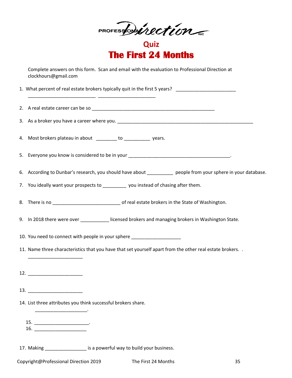PROFESSON incorrection

**Quiz The First 24 Months** 

Complete answers on this form. Scan and email with the evaluation to Professional Direction at clockhours@gmail.com

1. What percent of real estate brokers typically quit in the first 5 years? \_\_\_\_\_\_\_\_\_\_\_\_\_\_\_\_\_\_\_\_\_\_\_\_\_\_ \_\_\_\_\_\_\_\_\_\_\_\_\_\_\_\_\_\_\_\_\_\_ 2. A real estate career can be so \_\_\_\_\_\_\_\_\_\_\_\_\_\_\_\_\_\_\_\_\_\_\_\_\_\_\_\_\_\_\_\_\_\_\_\_\_\_\_\_\_\_\_\_\_\_\_ 3. As a broker you have a career where you. 4. Most brokers plateau in about to the vears. 5. Everyone you know is considered to be in your \_\_\_\_\_\_\_\_\_\_\_\_\_\_\_\_\_\_\_\_\_\_\_\_\_\_\_\_\_\_\_\_ 6. According to Dunbar's research, you should have about \_\_\_\_\_\_\_\_\_\_ people from your sphere in your database. 7. You ideally want your prospects to \_\_\_\_\_\_\_\_\_\_ you instead of chasing after them. 8. There is no **we can also constructed the State of Washington**. 9. In 2018 there were over \_\_\_\_\_\_\_\_\_\_\_ licensed brokers and managing brokers in Washington State. 10. You need to connect with people in your sphere 11. Name three characteristics that you have that set yourself apart from the other real estate brokers. . \_\_\_\_\_\_\_\_\_\_\_\_\_\_\_\_\_\_\_\_\_ 12. 13. \_\_\_\_\_\_\_\_\_\_\_\_\_\_\_\_\_\_\_\_\_ 14. List three attributes you think successful brokers share.  $\overline{\phantom{a}}$  ,  $\overline{\phantom{a}}$  ,  $\overline{\phantom{a}}$  ,  $\overline{\phantom{a}}$  ,  $\overline{\phantom{a}}$  ,  $\overline{\phantom{a}}$  ,  $\overline{\phantom{a}}$  ,  $\overline{\phantom{a}}$  ,  $\overline{\phantom{a}}$  ,  $\overline{\phantom{a}}$  ,  $\overline{\phantom{a}}$  ,  $\overline{\phantom{a}}$  ,  $\overline{\phantom{a}}$  ,  $\overline{\phantom{a}}$  ,  $\overline{\phantom{a}}$  ,  $\overline{\phantom{a}}$ 15. \_\_\_\_\_\_\_\_\_\_\_\_\_\_\_\_\_\_\_\_\_\_\_\_\_\_\_\_. 16. \_\_\_\_\_\_\_\_\_\_\_\_\_\_\_\_\_\_\_\_ 17. Making \_\_\_\_\_\_\_\_\_\_\_\_\_\_\_\_\_\_ is a powerful way to build your business.

Copyright@Professional Direction 2019 The First 24 Months 35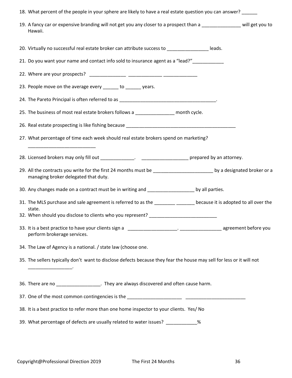| 18. What percent of the people in your sphere are likely to have a real estate question you can answer? _____                                                 |
|---------------------------------------------------------------------------------------------------------------------------------------------------------------|
| 19. A fancy car or expensive branding will not get you any closer to a prospect than a ___________ will get you to<br>Hawaii.                                 |
| 20. Virtually no successful real estate broker can attribute success to ___________________leads.                                                             |
| 21. Do you want your name and contact info sold to insurance agent as a "lead?"____________                                                                   |
|                                                                                                                                                               |
| 23. People move on the average every ______ to ______ years.                                                                                                  |
|                                                                                                                                                               |
| 25. The business of most real estate brokers follows a _______________ month cycle.                                                                           |
|                                                                                                                                                               |
| 27. What percentage of time each week should real estate brokers spend on marketing?                                                                          |
|                                                                                                                                                               |
| 29. All the contracts you write for the first 24 months must be _________________________ by a designated broker or a<br>managing broker delegated that duty. |
| 30. Any changes made on a contract must be in writing and _____________________ by all parties.                                                               |
| 31. The MLS purchase and sale agreement is referred to as the ________ ______ because it is adopted to all over the<br>state.                                 |
| 32. When should you disclose to clients who you represent? _____________________                                                                              |
| perform brokerage services.                                                                                                                                   |
| 34. The Law of Agency is a national. / state law (choose one.                                                                                                 |
| 35. The sellers typically don't want to disclose defects because they fear the house may sell for less or it will not<br>the company of the company of        |
| 36. There are no _____________________________. They are always discovered and often cause harm.                                                              |
|                                                                                                                                                               |
| 38. It is a best practice to refer more than one home inspector to your clients. Yes/ No                                                                      |
| 39. What percentage of defects are usually related to water issues? ____________ %                                                                            |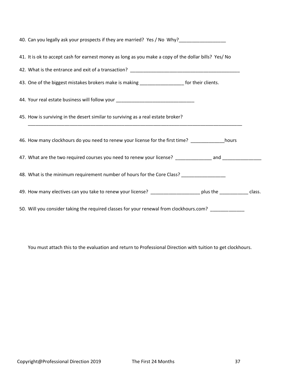| 40. Can you legally ask your prospects if they are married? Yes / No Why?__________________________             |  |  |
|-----------------------------------------------------------------------------------------------------------------|--|--|
| 41. It is ok to accept cash for earnest money as long as you make a copy of the dollar bills? Yes/ No           |  |  |
|                                                                                                                 |  |  |
| 43. One of the biggest mistakes brokers make is making ___________________ for their clients.                   |  |  |
| 44. Your real estate business will follow your _________________________________                                |  |  |
| 45. How is surviving in the desert similar to surviving as a real estate broker?                                |  |  |
| 46. How many clockhours do you need to renew your license for the first time?                                   |  |  |
| 47. What are the two required courses you need to renew your license? ___________ and _____________             |  |  |
| 48. What is the minimum requirement number of hours for the Core Class? _______________                         |  |  |
| 49. How many electives can you take to renew your license? ______________________ plus the _____________ class. |  |  |
| 50. Will you consider taking the required classes for your renewal from clockhours.com? ___________             |  |  |

You must attach this to the evaluation and return to Professional Direction with tuition to get clockhours.